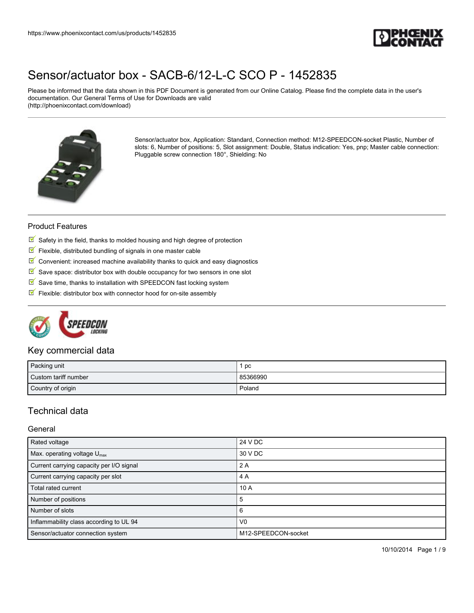

Please be informed that the data shown in this PDF Document is generated from our Online Catalog. Please find the complete data in the user's documentation. Our General Terms of Use for Downloads are valid (http://phoenixcontact.com/download)



Sensor/actuator box, Application: Standard, Connection method: M12-SPEEDCON-socket Plastic, Number of slots: 6, Number of positions: 5, Slot assignment: Double, Status indication: Yes, pnp; Master cable connection: Pluggable screw connection 180°, Shielding: No

#### Product Features

- $\mathbb N$  Safety in the field, thanks to molded housing and high degree of protection
- $\blacksquare$  Flexible, distributed bundling of signals in one master cable
- $\mathbb F$  Convenient: increased machine availability thanks to quick and easy diagnostics
- $\mathbb N$  Save space: distributor box with double occupancy for two sensors in one slot
- $\mathbb S$  Save time, thanks to installation with SPEEDCON fast locking system
- $\blacksquare$  Flexible: distributor box with connector hood for on-site assembly



## Key commercial data

| Packing unit         | pc       |
|----------------------|----------|
| Custom tariff number | 85366990 |
| Country of origin    | Poland   |

## Technical data

#### General

| Rated voltage                            | 24 V DC             |
|------------------------------------------|---------------------|
| Max. operating voltage $U_{\text{max}}$  | 30 V DC             |
| Current carrying capacity per I/O signal | 2A                  |
| Current carrying capacity per slot       | 4 A                 |
| Total rated current                      | 10A                 |
| Number of positions                      | 5                   |
| Number of slots                          | 6                   |
| Inflammability class according to UL 94  | V <sub>0</sub>      |
| Sensor/actuator connection system        | M12-SPEEDCON-socket |

10/10/2014 Page 1 / 9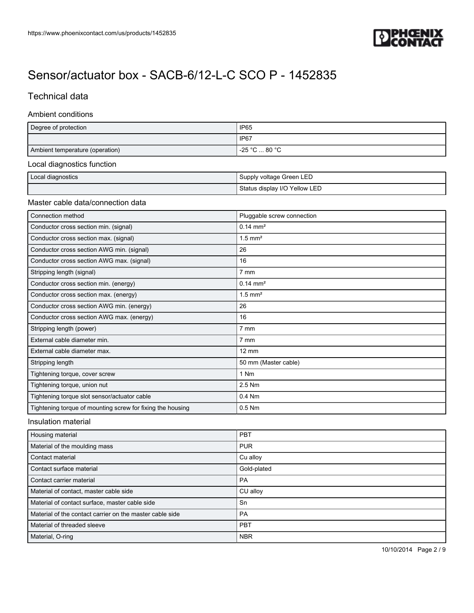

# Technical data

#### Ambient conditions

| Degree of protection                  | IP <sub>65</sub>              |  |
|---------------------------------------|-------------------------------|--|
|                                       | IP <sub>67</sub>              |  |
| Ambient temperature (operation)       | $-25 °C  80 °C$               |  |
| Local diagnostics function            |                               |  |
| Local diagnostics                     | Supply voltage Green LED      |  |
|                                       | Status display I/O Yellow LED |  |
| Master cable data/connection data     |                               |  |
| Connection method                     | Pluggable screw connection    |  |
| Conductor cross section min. (signal) | $0.14 \text{ mm}^2$           |  |

| Conductor cross section min. (signal)                      | $0.14 \text{ mm}^2$   |
|------------------------------------------------------------|-----------------------|
| Conductor cross section max. (signal)                      | $1.5$ mm <sup>2</sup> |
| Conductor cross section AWG min. (signal)                  | 26                    |
| Conductor cross section AWG max. (signal)                  | 16                    |
| Stripping length (signal)                                  | 7 mm                  |
| Conductor cross section min. (energy)                      | $0.14 \, \text{mm}^2$ |
| Conductor cross section max. (energy)                      | $1.5$ mm <sup>2</sup> |
| Conductor cross section AWG min. (energy)                  | 26                    |
| Conductor cross section AWG max. (energy)                  | 16                    |
| Stripping length (power)                                   | $7 \text{ mm}$        |
| External cable diameter min.                               | $7 \text{ mm}$        |
| External cable diameter max.                               | $12 \text{ mm}$       |
| Stripping length                                           | 50 mm (Master cable)  |
| Tightening torque, cover screw                             | 1 Nm                  |
| Tightening torque, union nut                               | 2.5 Nm                |
| Tightening torque slot sensor/actuator cable               | 0.4 Nm                |
| Tightening torque of mounting screw for fixing the housing | $0.5$ Nm              |

#### Insulation material

| Housing material                                         | PBT         |
|----------------------------------------------------------|-------------|
| Material of the moulding mass                            | <b>PUR</b>  |
| Contact material                                         | Cu alloy    |
| Contact surface material                                 | Gold-plated |
| Contact carrier material                                 | <b>PA</b>   |
| Material of contact, master cable side                   | CU alloy    |
| Material of contact surface, master cable side           | Sn          |
| Material of the contact carrier on the master cable side | <b>PA</b>   |
| Material of threaded sleeve                              | PBT         |
| Material, O-ring                                         | <b>NBR</b>  |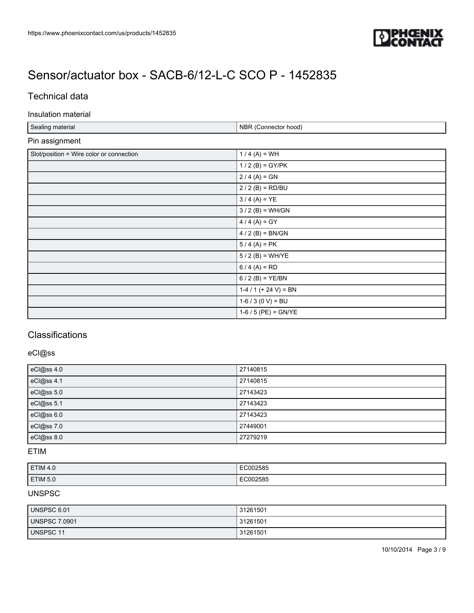

# Technical data

#### Insulation material

| Sealing material                         | NBR (Connector hood)  |
|------------------------------------------|-----------------------|
| Pin assignment                           |                       |
| Slot/position = Wire color or connection | $1/4(A) = WH$         |
|                                          | $1/2$ (B) = GY/PK     |
|                                          | $2 / 4 (A) = GN$      |
|                                          | $2/2$ (B) = RD/BU     |
|                                          | $3/4 (A) = YE$        |
|                                          | $3 / 2 (B) = WH/GN$   |
|                                          | $4/4 (A) = GY$        |
|                                          | $4/2$ (B) = BN/GN     |
|                                          | $5/4 (A) = PK$        |
|                                          | $5/2$ (B) = WH/YE     |
|                                          | $6/4 (A) = RD$        |
|                                          | $6/2$ (B) = YE/BN     |
|                                          | $1-4/1$ (+ 24 V) = BN |
|                                          | $1-6/3$ (0 V) = BU    |
|                                          | $1-6/5$ (PE) = GN/YE  |

# **Classifications**

## eCl@ss

| eCl@ss 4.0 | 27140815 |
|------------|----------|
| eCl@ss 4.1 | 27140815 |
| eCl@ss 5.0 | 27143423 |
| eCl@ss 5.1 | 27143423 |
| eCl@ss 6.0 | 27143423 |
| eCl@ss 7.0 | 27449001 |
| eCl@ss 8.0 | 27279219 |

### ETIM

| ETIM 4.0 | EC002585 |
|----------|----------|
| ETIM 5.0 | EC002585 |

#### UNSPSC

| UNSPSC 6.01          | 31261501 |
|----------------------|----------|
| <b>UNSPSC 7.0901</b> | 31261501 |
| UNSPSC 11            | 31261501 |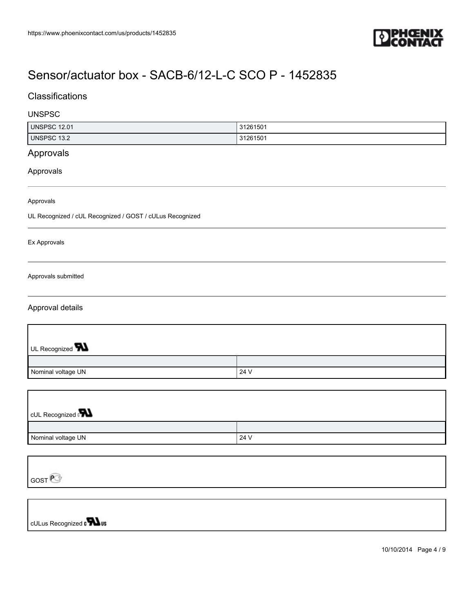

## **Classifications**

#### UNSPSC

| <b>UNSPSC 12.01</b> | 31261501 |
|---------------------|----------|
| UNSPSC 13.2         | 31261501 |
|                     |          |

# Approvals

Approvals

Approvals

UL Recognized / cUL Recognized / GOST / cULus Recognized

Ex Approvals

Approvals submitted

#### Approval details

J

| UL Recognized <b>W</b> |      |
|------------------------|------|
|                        |      |
| Nominal voltage UN     | 24 V |

| <b>CUL Recognized</b> |      |
|-----------------------|------|
|                       |      |
| Nominal voltage UN    | 24 V |

| GOST <sup>P</sup>              |
|--------------------------------|
|                                |
|                                |
| cULus Recognized <b>CHA</b> us |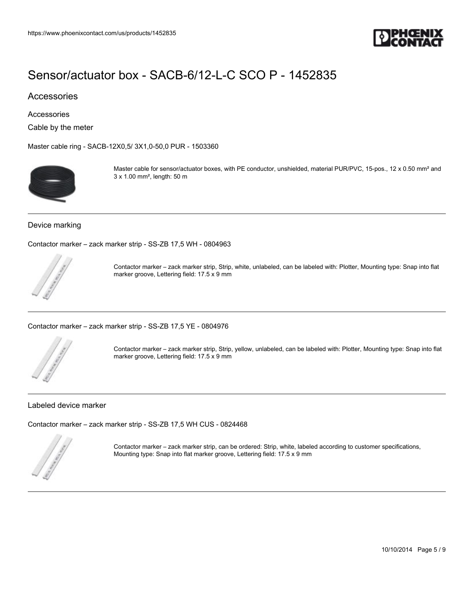

## Accessories

Accessories

Cable by the meter

[Master cable ring - SACB-12X0,5/ 3X1,0-50,0 PUR - 1503360](https://www.phoenixcontact.com/us/products/1503360)



Master cable for sensor/actuator boxes, with PE conductor, unshielded, material PUR/PVC, 15-pos., 12 x 0.50 mm<sup>2</sup> and 3 x 1.00 mm², length: 50 m

#### Device marking

[Contactor marker – zack marker strip - SS-ZB 17,5 WH - 0804963](https://www.phoenixcontact.com/us/products/0804963)



Contactor marker – zack marker strip, Strip, white, unlabeled, can be labeled with: Plotter, Mounting type: Snap into flat marker groove, Lettering field: 17.5 x 9 mm

[Contactor marker – zack marker strip - SS-ZB 17,5 YE - 0804976](https://www.phoenixcontact.com/us/products/0804976)



Contactor marker – zack marker strip, Strip, yellow, unlabeled, can be labeled with: Plotter, Mounting type: Snap into flat marker groove, Lettering field: 17.5 x 9 mm

#### Labeled device marker

[Contactor marker – zack marker strip - SS-ZB 17,5 WH CUS - 0824468](https://www.phoenixcontact.com/us/products/0824468)



Contactor marker – zack marker strip, can be ordered: Strip, white, labeled according to customer specifications, Mounting type: Snap into flat marker groove, Lettering field: 17.5 x 9 mm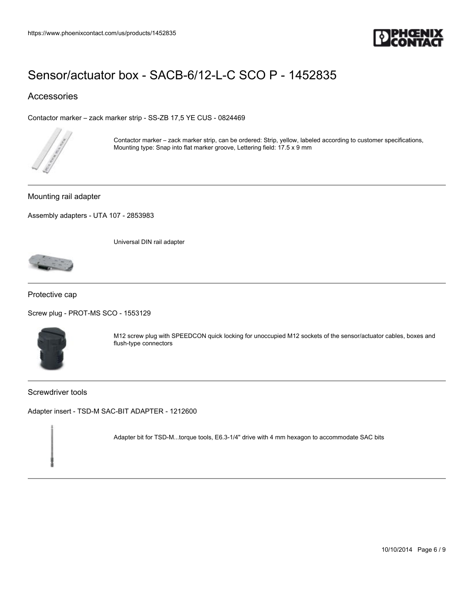

## Accessories

[Contactor marker – zack marker strip - SS-ZB 17,5 YE CUS - 0824469](https://www.phoenixcontact.com/us/products/0824469)



Contactor marker – zack marker strip, can be ordered: Strip, yellow, labeled according to customer specifications, Mounting type: Snap into flat marker groove, Lettering field: 17.5 x 9 mm

Mounting rail adapter

[Assembly adapters - UTA 107 - 2853983](https://www.phoenixcontact.com/us/products/2853983)

Universal DIN rail adapter



Protective cap

[Screw plug - PROT-MS SCO - 1553129](https://www.phoenixcontact.com/us/products/1553129)



M12 screw plug with SPEEDCON quick locking for unoccupied M12 sockets of the sensor/actuator cables, boxes and flush-type connectors

Screwdriver tools

[Adapter insert - TSD-M SAC-BIT ADAPTER - 1212600](https://www.phoenixcontact.com/us/products/1212600)

Adapter bit for TSD-M...torque tools, E6.3-1/4" drive with 4 mm hexagon to accommodate SAC bits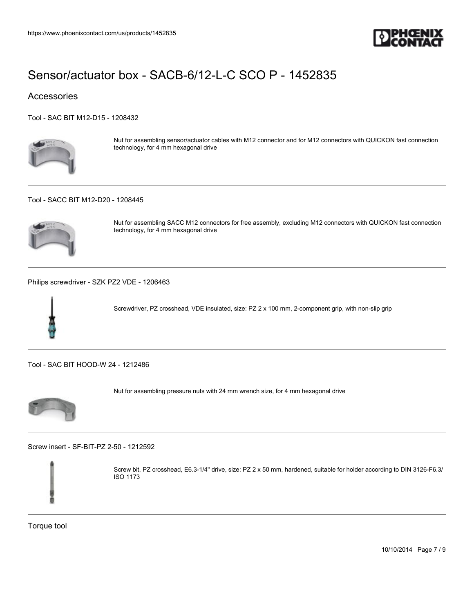

## **Accessories**

[Tool - SAC BIT M12-D15 - 1208432](https://www.phoenixcontact.com/us/products/1208432)



Nut for assembling sensor/actuator cables with M12 connector and for M12 connectors with QUICKON fast connection technology, for 4 mm hexagonal drive

#### [Tool - SACC BIT M12-D20 - 1208445](https://www.phoenixcontact.com/us/products/1208445)



Nut for assembling SACC M12 connectors for free assembly, excluding M12 connectors with QUICKON fast connection technology, for 4 mm hexagonal drive

[Philips screwdriver - SZK PZ2 VDE - 1206463](https://www.phoenixcontact.com/us/products/1206463)



Screwdriver, PZ crosshead, VDE insulated, size: PZ 2 x 100 mm, 2-component grip, with non-slip grip

[Tool - SAC BIT HOOD-W 24 - 1212486](https://www.phoenixcontact.com/us/products/1212486)



Nut for assembling pressure nuts with 24 mm wrench size, for 4 mm hexagonal drive

[Screw insert - SF-BIT-PZ 2-50 - 1212592](https://www.phoenixcontact.com/us/products/1212592)



Screw bit, PZ crosshead, E6.3-1/4" drive, size: PZ 2 x 50 mm, hardened, suitable for holder according to DIN 3126-F6.3/ ISO 1173

Torque tool

10/10/2014 Page 7 / 9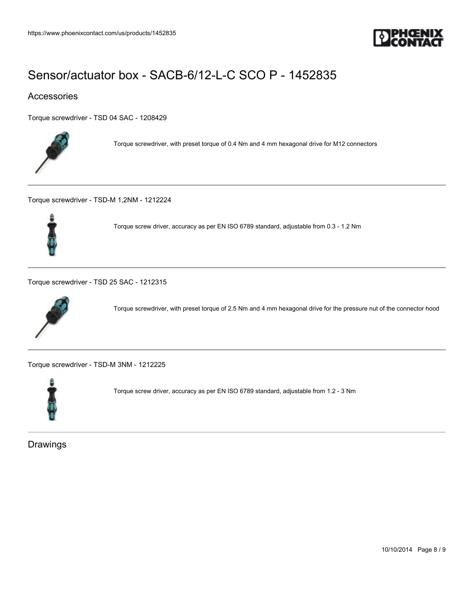

## Accessories

[Torque screwdriver - TSD 04 SAC - 1208429](https://www.phoenixcontact.com/us/products/1208429)



Torque screwdriver, with preset torque of 0.4 Nm and 4 mm hexagonal drive for M12 connectors

[Torque screwdriver - TSD-M 1,2NM - 1212224](https://www.phoenixcontact.com/us/products/1212224)



Torque screw driver, accuracy as per EN ISO 6789 standard, adjustable from 0.3 ‑ 1.2 Nm

[Torque screwdriver - TSD 25 SAC - 1212315](https://www.phoenixcontact.com/us/products/1212315)



Torque screwdriver, with preset torque of 2.5 Nm and 4 mm hexagonal drive for the pressure nut of the connector hood

[Torque screwdriver - TSD-M 3NM - 1212225](https://www.phoenixcontact.com/us/products/1212225)



Torque screw driver, accuracy as per EN ISO 6789 standard, adjustable from 1.2 ‑ 3 Nm

Drawings